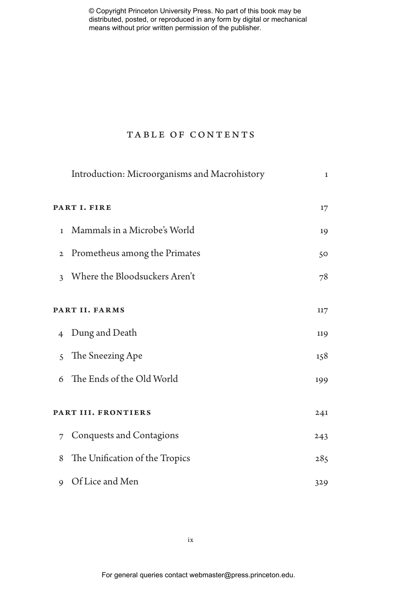# TABLE OF CONTENTS

|                     | Introduction: Microorganisms and Macrohistory | $\mathbf{1}$ |
|---------------------|-----------------------------------------------|--------------|
| PART I. FIRE        |                                               | 17           |
| $\mathbf{1}$        | Mammals in a Microbe's World                  | 19           |
| $\mathbf{2}$        | Prometheus among the Primates                 | 50           |
| $\mathbf{3}$        | Where the Bloodsuckers Aren't                 | 78           |
| PART II. FARMS      |                                               | 117          |
| $\overline{4}$      | Dung and Death                                | 119          |
| $\mathcal{S}$       | The Sneezing Ape                              | 158          |
| 6                   | The Ends of the Old World                     | 199          |
| PART III. FRONTIERS |                                               | 241          |
|                     | 7 Conquests and Contagions                    | 243          |
| 8                   | The Unification of the Tropics                | 285          |
| 9                   | Of Lice and Men                               | 329          |

ix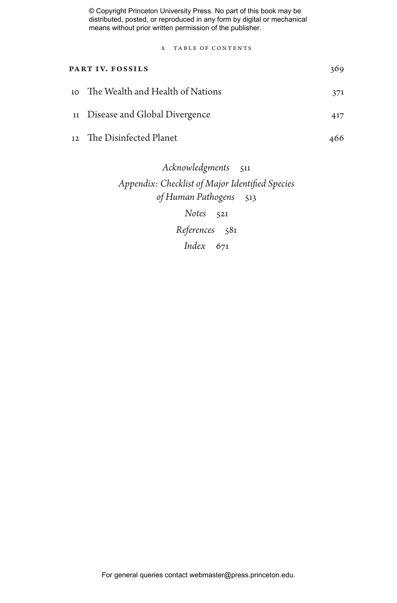x table of content

| PART IV. FOSSILS |                                     | 369 |
|------------------|-------------------------------------|-----|
|                  | 10 The Wealth and Health of Nations | 371 |
|                  | 11 Disease and Global Divergence    | 417 |
|                  | 12 The Disinfected Planet           | 466 |
|                  |                                     |     |

*Acknowledgments* 511 *Appendix: Checklist of Major Identified Species of Human Pathogens* 513 *Notes* 521 *References* 581 *Index* 671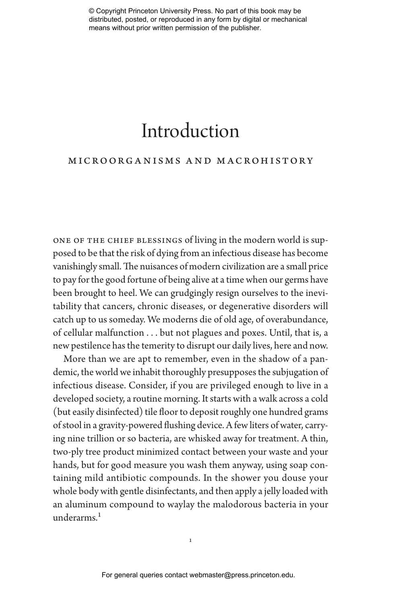# Introduction

# microorganisms and macrohistory

one of the chief blessings of living in the modern world is supposed to be that the risk of dying from an infectious disease has become vanishingly small. The nuisances of modern civilization are a small price to pay for the good fortune of being alive at a time when our germs have been brought to heel. We can grudgingly resign ourselves to the inevitability that cancers, chronic diseases, or degenerative disorders will catch up to us someday. We moderns die of old age, of overabundance, of cellular malfunction . . . but not plagues and poxes. Until, that is, a new pestilence has the temerity to disrupt our daily lives, here and now.

More than we are apt to remember, even in the shadow of a pandemic, the world we inhabit thoroughly presupposes the subjugation of infectious disease. Consider, if you are privileged enough to live in a developed society, a routine morning. It starts with a walk across a cold (but easily disinfected) tile floor to deposit roughly one hundred grams of stool in a gravity-powered flushing device. A few liters of water, carrying nine trillion or so bacteria, are whisked away for treatment. A thin, two-ply tree product minimized contact between your waste and your hands, but for good measure you wash them anyway, using soap containing mild antibiotic compounds. In the shower you douse your whole body with gentle disinfectants, and then apply a jelly loaded with an aluminum compound to waylay the malodorous bacteria in your underarms.<sup>1</sup>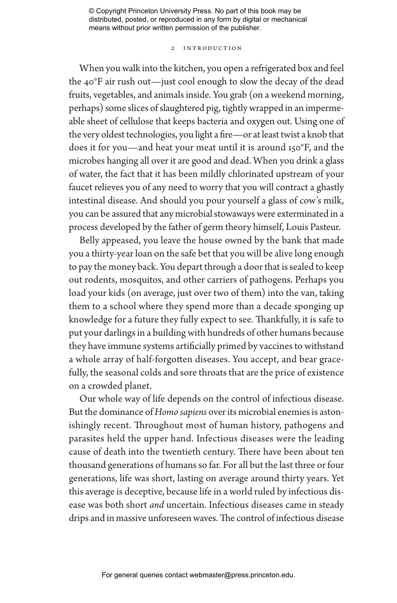# 2 Introduction

When you walk into the kitchen, you open a refrigerated box and feel the 40°F air rush out—just cool enough to slow the decay of the dead fruits, vegetables, and animals inside. You grab (on a weekend morning, perhaps) some slices of slaughtered pig, tightly wrapped in an impermeable sheet of cellulose that keeps bacteria and oxygen out. Using one of the very oldest technologies, you light a fire—or at least twist a knob that does it for you—and heat your meat until it is around 150°F, and the microbes hanging all over it are good and dead. When you drink a glass of water, the fact that it has been mildly chlorinated upstream of your faucet relieves you of any need to worry that you will contract a ghastly intestinal disease. And should you pour yourself a glass of cow's milk, you can be assured that any microbial stowaways were exterminated in a process developed by the father of germ theory himself, Louis Pasteur.

Belly appeased, you leave the house owned by the bank that made you a thirty-year loan on the safe bet that you will be alive long enough to pay the money back. You depart through a door that is sealed to keep out rodents, mosquitos, and other carriers of pathogens. Perhaps you load your kids (on average, just over two of them) into the van, taking them to a school where they spend more than a decade sponging up knowledge for a future they fully expect to see. Thankfully, it is safe to put your darlings in a building with hundreds of other humans because they have immune systems artificially primed by vaccines to withstand a whole array of half-forgotten diseases. You accept, and bear gracefully, the seasonal colds and sore throats that are the price of existence on a crowded planet.

Our whole way of life depends on the control of infectious disease. But the dominance of *Homo sapiens* over its microbial enemies is astonishingly recent. Throughout most of human history, pathogens and parasites held the upper hand. Infectious diseases were the leading cause of death into the twentieth century. There have been about ten thousand generations of humans so far. For all but the last three or four generations, life was short, lasting on average around thirty years. Yet this average is deceptive, because life in a world ruled by infectious disease was both short *and* uncertain. Infectious diseases came in steady drips and in massive unforeseen waves. The control of infectious disease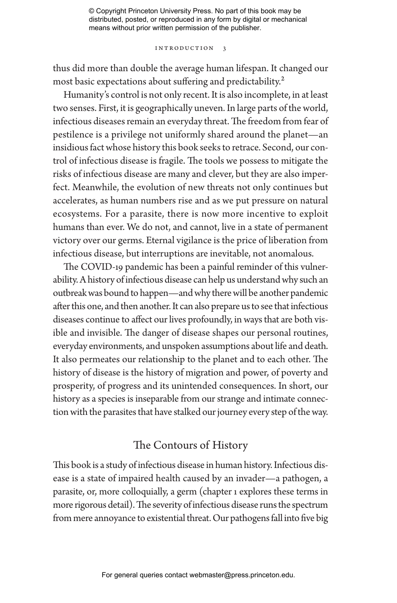Introduction 3

thus did more than double the average human lifespan. It changed our most basic expectations about suffering and predictability.<sup>2</sup>

Humanity's control is not only recent. It is also incomplete, in at least two senses. First, it is geographically uneven. In large parts of the world, infectious diseases remain an everyday threat. The freedom from fear of pestilence is a privilege not uniformly shared around the planet—an insidious fact whose history this book seeks to retrace. Second, our control of infectious disease is fragile. The tools we possess to mitigate the risks of infectious disease are many and clever, but they are also imperfect. Meanwhile, the evolution of new threats not only continues but accelerates, as human numbers rise and as we put pressure on natural ecosystems. For a parasite, there is now more incentive to exploit humans than ever. We do not, and cannot, live in a state of permanent victory over our germs. Eternal vigilance is the price of liberation from infectious disease, but interruptions are inevitable, not anomalous.

The COVID-19 pandemic has been a painful reminder of this vulnerability. A history of infectious disease can help us understand why such an outbreak was bound to happen—and why there will be another pandemic after this one, and then another. It can also prepare us to see that infectious diseases continue to affect our lives profoundly, in ways that are both visible and invisible. The danger of disease shapes our personal routines, everyday environments, and unspoken assumptions about life and death. It also permeates our relationship to the planet and to each other. The history of disease is the history of migration and power, of poverty and prosperity, of progress and its unintended consequences. In short, our history as a species is inseparable from our strange and intimate connection with the parasites that have stalked our journey every step of the way.

# The Contours of History

This book is a study of infectious disease in human history. Infectious disease is a state of impaired health caused by an invader—a pathogen, a parasite, or, more colloquially, a germ (chapter 1 explores these terms in more rigorous detail). The severity of infectious disease runs the spectrum from mere annoyance to existential threat. Our pathogens fall into five big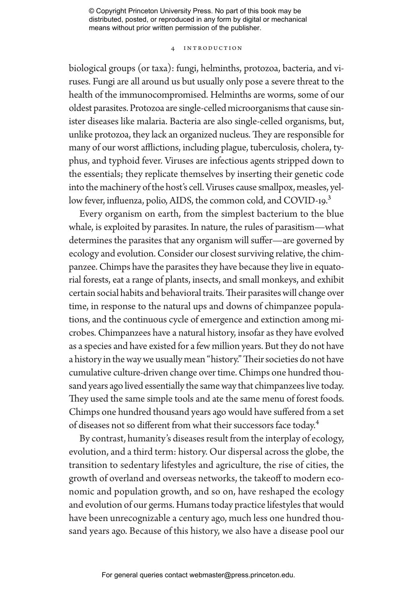# 4 Introduction

biological groups (or taxa): fungi, helminths, protozoa, bacteria, and viruses. Fungi are all around us but usually only pose a severe threat to the health of the immunocompromised. Helminths are worms, some of our oldest parasites. Protozoa are single-celled microorganisms that cause sinister diseases like malaria. Bacteria are also single-celled organisms, but, unlike protozoa, they lack an organized nucleus. They are responsible for many of our worst afflictions, including plague, tuberculosis, cholera, typhus, and typhoid fever. Viruses are infectious agents stripped down to the essentials; they replicate themselves by inserting their genetic code into the machinery of the host's cell. Viruses cause smallpox, measles, yellow fever, influenza, polio, AIDS, the common cold, and COVID-19.<sup>3</sup>

Every organism on earth, from the simplest bacterium to the blue whale, is exploited by parasites. In nature, the rules of parasitism—what determines the parasites that any organism will suffer—are governed by ecology and evolution. Consider our closest surviving relative, the chimpanzee. Chimps have the parasites they have because they live in equatorial forests, eat a range of plants, insects, and small monkeys, and exhibit certain social habits and behavioral traits. Their parasites will change over time, in response to the natural ups and downs of chimpanzee populations, and the continuous cycle of emergence and extinction among microbes. Chimpanzees have a natural history, insofar as they have evolved as a species and have existed for a few million years. But they do not have a history in the way we usually mean "history." Their societies do not have cumulative culture-driven change over time. Chimps one hundred thousand years ago lived essentially the same way that chimpanzees live today. They used the same simple tools and ate the same menu of forest foods. Chimps one hundred thousand years ago would have suffered from a set of diseases not so different from what their successors face today.4

By contrast, humanity's diseases result from the interplay of ecology, evolution, and a third term: history. Our dispersal across the globe, the transition to sedentary lifestyles and agriculture, the rise of cities, the growth of overland and overseas networks, the takeoff to modern economic and population growth, and so on, have reshaped the ecology and evolution of our germs. Humans today practice lifestyles that would have been unrecognizable a century ago, much less one hundred thousand years ago. Because of this history, we also have a disease pool our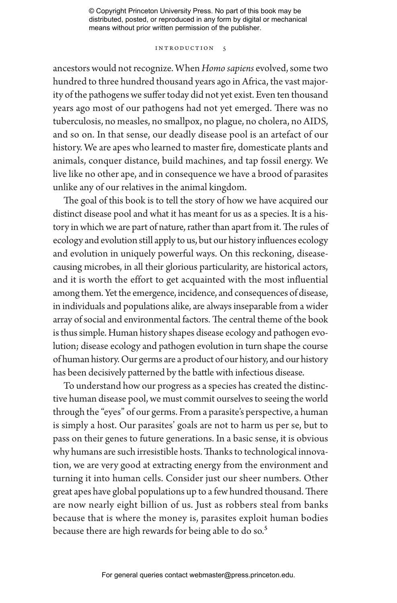# Introduction 5

ancestors would not recognize. When *Homo sapiens* evolved, some two hundred to three hundred thousand years ago in Africa, the vast majority of the pathogens we suffer today did not yet exist. Even ten thousand years ago most of our pathogens had not yet emerged. There was no tuberculosis, no measles, no smallpox, no plague, no cholera, no AIDS, and so on. In that sense, our deadly disease pool is an artefact of our history. We are apes who learned to master fire, domesticate plants and animals, conquer distance, build machines, and tap fossil energy. We live like no other ape, and in consequence we have a brood of parasites unlike any of our relatives in the animal kingdom.

The goal of this book is to tell the story of how we have acquired our distinct disease pool and what it has meant for us as a species. It is a history in which we are part of nature, rather than apart from it. The rules of ecology and evolution still apply to us, but our history influences ecology and evolution in uniquely powerful ways. On this reckoning, diseasecausing microbes, in all their glorious particularity, are historical actors, and it is worth the effort to get acquainted with the most influential among them. Yet the emergence, incidence, and consequences of disease, in individuals and populations alike, are always inseparable from a wider array of social and environmental factors. The central theme of the book is thus simple. Human history shapes disease ecology and pathogen evolution; disease ecology and pathogen evolution in turn shape the course of human history. Our germs are a product of our history, and our history has been decisively patterned by the battle with infectious disease.

To understand how our progress as a species has created the distinctive human disease pool, we must commit ourselves to seeing the world through the "eyes" of our germs. From a parasite's perspective, a human is simply a host. Our parasites' goals are not to harm us per se, but to pass on their genes to future generations. In a basic sense, it is obvious why humans are such irresistible hosts. Thanks to technological innovation, we are very good at extracting energy from the environment and turning it into human cells. Consider just our sheer numbers. Other great apes have global populations up to a few hundred thousand. There are now nearly eight billion of us. Just as robbers steal from banks because that is where the money is, parasites exploit human bodies because there are high rewards for being able to do so.<sup>5</sup>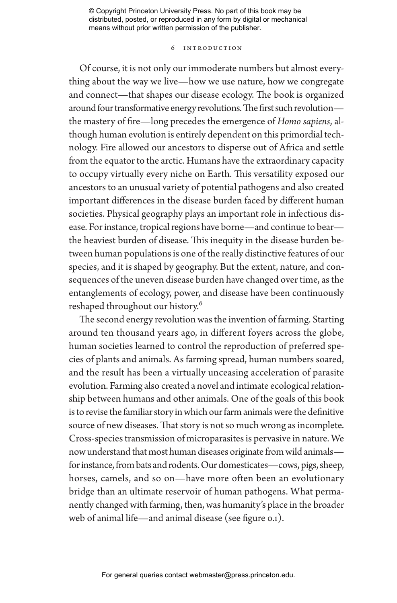## 6 Introduction

Of course, it is not only our immoderate numbers but almost everything about the way we live—how we use nature, how we congregate and connect—that shapes our disease ecology. The book is organized around four transformative energy revolutions. The first such revolution the mastery of fire—long precedes the emergence of *Homo sapiens*, although human evolution is entirely dependent on this primordial technology. Fire allowed our ancestors to disperse out of Africa and settle from the equator to the arctic. Humans have the extraordinary capacity to occupy virtually every niche on Earth. This versatility exposed our ancestors to an unusual variety of potential pathogens and also created important differences in the disease burden faced by different human societies. Physical geography plays an important role in infectious disease. For instance, tropical regions have borne—and continue to bear the heaviest burden of disease. This inequity in the disease burden between human populations is one of the really distinctive features of our species, and it is shaped by geography. But the extent, nature, and consequences of the uneven disease burden have changed over time, as the entanglements of ecology, power, and disease have been continuously reshaped throughout our history.6

The second energy revolution was the invention of farming. Starting around ten thousand years ago, in different foyers across the globe, human societies learned to control the reproduction of preferred species of plants and animals. As farming spread, human numbers soared, and the result has been a virtually unceasing acceleration of parasite evolution. Farming also created a novel and intimate ecological relationship between humans and other animals. One of the goals of this book is to revise the familiar story in which our farm animals were the definitive source of new diseases. That story is not so much wrong as incomplete. Cross-species transmission of microparasites is pervasive in nature. We now understand that most human diseases originate from wild animals for instance, from bats and rodents. Our domesticates—cows, pigs, sheep, horses, camels, and so on—have more often been an evolutionary bridge than an ultimate reservoir of human pathogens. What permanently changed with farming, then, was humanity's place in the broader web of animal life—and animal disease (see figure 0.1).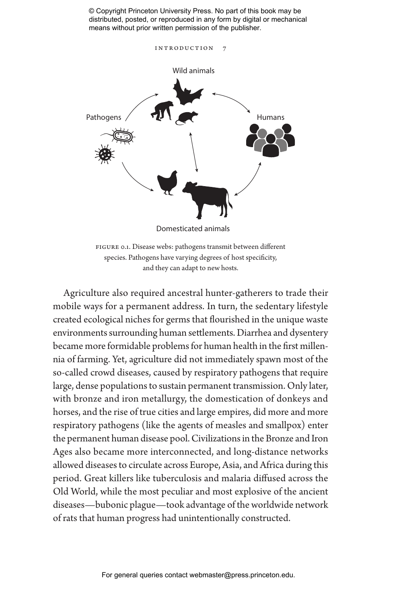

figure 0.1. Disease webs: pathogens transmit between different species. Pathogens have varying degrees of host specificity, and they can adapt to new hosts.

Agriculture also required ancestral hunter-gatherers to trade their mobile ways for a permanent address. In turn, the sedentary lifestyle created ecological niches for germs that flourished in the unique waste environments surrounding human settlements. Diarrhea and dysentery became more formidable problems for human health in the first millennia of farming. Yet, agriculture did not immediately spawn most of the so-called crowd diseases, caused by respiratory pathogens that require large, dense populations to sustain permanent transmission. Only later, with bronze and iron metallurgy, the domestication of donkeys and horses, and the rise of true cities and large empires, did more and more respiratory pathogens (like the agents of measles and smallpox) enter the permanent human disease pool. Civilizations in the Bronze and Iron Ages also became more interconnected, and long-distance networks allowed diseases to circulate across Europe, Asia, and Africa during this period. Great killers like tuberculosis and malaria diffused across the Old World, while the most peculiar and most explosive of the ancient diseases—bubonic plague—took advantage of the worldwide network of rats that human progress had unintentionally constructed.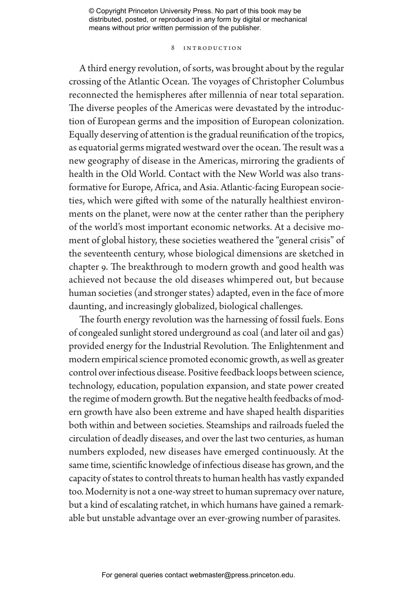# 8 Introduction

A third energy revolution, of sorts, was brought about by the regular crossing of the Atlantic Ocean. The voyages of Christopher Columbus reconnected the hemispheres after millennia of near total separation. The diverse peoples of the Americas were devastated by the introduction of European germs and the imposition of European colonization. Equally deserving of attention is the gradual reunification of the tropics, as equatorial germs migrated westward over the ocean. The result was a new geography of disease in the Americas, mirroring the gradients of health in the Old World. Contact with the New World was also transformative for Europe, Africa, and Asia. Atlantic-facing European societies, which were gifted with some of the naturally healthiest environments on the planet, were now at the center rather than the periphery of the world's most important economic networks. At a decisive moment of global history, these societies weathered the "general crisis" of the seventeenth century, whose biological dimensions are sketched in chapter 9. The breakthrough to modern growth and good health was achieved not because the old diseases whimpered out, but because human societies (and stronger states) adapted, even in the face of more daunting, and increasingly globalized, biological challenges.

The fourth energy revolution was the harnessing of fossil fuels. Eons of congealed sunlight stored underground as coal (and later oil and gas) provided energy for the Industrial Revolution. The Enlightenment and modern empirical science promoted economic growth, as well as greater control over infectious disease. Positive feedback loops between science, technology, education, population expansion, and state power created the regime of modern growth. But the negative health feedbacks of modern growth have also been extreme and have shaped health disparities both within and between societies. Steamships and railroads fueled the circulation of deadly diseases, and over the last two centuries, as human numbers exploded, new diseases have emerged continuously. At the same time, scientific knowledge of infectious disease has grown, and the capacity of states to control threats to human health has vastly expanded too. Modernity is not a one-way street to human supremacy over nature, but a kind of escalating ratchet, in which humans have gained a remarkable but unstable advantage over an ever-growing number of parasites.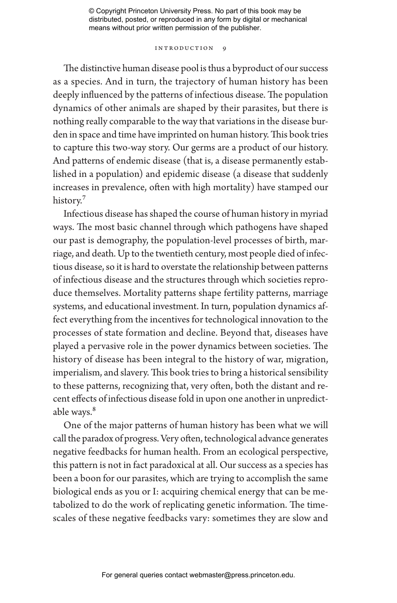# INTRODUCTION 9

The distinctive human disease pool is thus a byproduct of our success as a species. And in turn, the trajectory of human history has been deeply influenced by the patterns of infectious disease. The population dynamics of other animals are shaped by their parasites, but there is nothing really comparable to the way that variations in the disease burden in space and time have imprinted on human history. This book tries to capture this two-way story. Our germs are a product of our history. And patterns of endemic disease (that is, a disease permanently established in a population) and epidemic disease (a disease that suddenly increases in prevalence, often with high mortality) have stamped our history.<sup>7</sup>

Infectious disease has shaped the course of human history in myriad ways. The most basic channel through which pathogens have shaped our past is demography, the population-level processes of birth, marriage, and death. Up to the twentieth century, most people died of infectious disease, so it is hard to overstate the relationship between patterns of infectious disease and the structures through which societies reproduce themselves. Mortality patterns shape fertility patterns, marriage systems, and educational investment. In turn, population dynamics affect everything from the incentives for technological innovation to the processes of state formation and decline. Beyond that, diseases have played a pervasive role in the power dynamics between societies. The history of disease has been integral to the history of war, migration, imperialism, and slavery. This book tries to bring a historical sensibility to these patterns, recognizing that, very often, both the distant and recent effects of infectious disease fold in upon one another in unpredictable ways.<sup>8</sup>

One of the major patterns of human history has been what we will call the paradox of progress. Very often, technological advance generates negative feedbacks for human health. From an ecological perspective, this pattern is not in fact paradoxical at all. Our success as a species has been a boon for our parasites, which are trying to accomplish the same biological ends as you or I: acquiring chemical energy that can be metabolized to do the work of replicating genetic information. The timescales of these negative feedbacks vary: sometimes they are slow and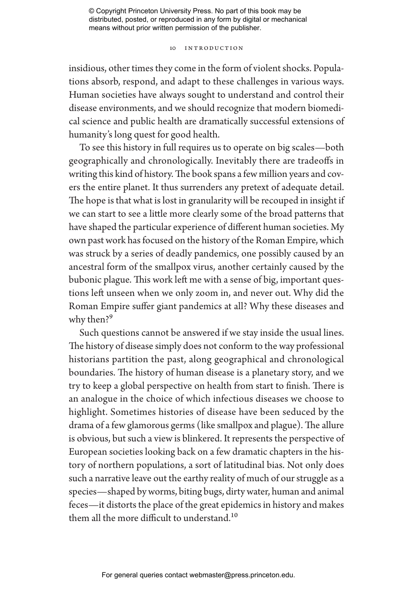# 10 Introduction

insidious, other times they come in the form of violent shocks. Populations absorb, respond, and adapt to these challenges in various ways. Human societies have always sought to understand and control their disease environments, and we should recognize that modern biomedical science and public health are dramatically successful extensions of humanity's long quest for good health.

To see this history in full requires us to operate on big scales—both geographically and chronologically. Inevitably there are tradeoffs in writing this kind of history. The book spans a few million years and covers the entire planet. It thus surrenders any pretext of adequate detail. The hope is that what is lost in granularity will be recouped in insight if we can start to see a little more clearly some of the broad patterns that have shaped the particular experience of different human societies. My own past work has focused on the history of the Roman Empire, which was struck by a series of deadly pandemics, one possibly caused by an ancestral form of the smallpox virus, another certainly caused by the bubonic plague. This work left me with a sense of big, important questions left unseen when we only zoom in, and never out. Why did the Roman Empire suffer giant pandemics at all? Why these diseases and why then?<sup>9</sup>

Such questions cannot be answered if we stay inside the usual lines. The history of disease simply does not conform to the way professional historians partition the past, along geographical and chronological boundaries. The history of human disease is a planetary story, and we try to keep a global perspective on health from start to finish. There is an analogue in the choice of which infectious diseases we choose to highlight. Sometimes histories of disease have been seduced by the drama of a few glamorous germs (like smallpox and plague). The allure is obvious, but such a view is blinkered. It represents the perspective of European societies looking back on a few dramatic chapters in the history of northern populations, a sort of latitudinal bias. Not only does such a narrative leave out the earthy reality of much of our struggle as a species—shaped by worms, biting bugs, dirty water, human and animal feces—it distorts the place of the great epidemics in history and makes them all the more difficult to understand.<sup>10</sup>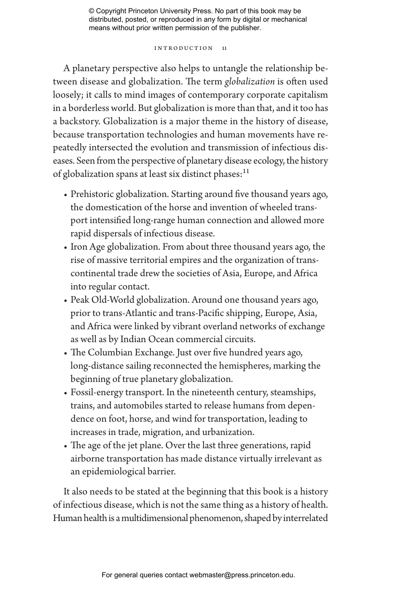# INTRODUCTION 11

A planetary perspective also helps to untangle the relationship between disease and globalization. The term *globalization* is often used loosely; it calls to mind images of contemporary corporate capitalism in a borderless world. But globalization is more than that, and it too has a backstory. Globalization is a major theme in the history of disease, because transportation technologies and human movements have repeatedly intersected the evolution and transmission of infectious diseases. Seen from the perspective of planetary disease ecology, the history of globalization spans at least six distinct phases: $11$ 

- Prehistoric globalization. Starting around five thousand years ago, the domestication of the horse and invention of wheeled transport intensified long-range human connection and allowed more rapid dispersals of infectious disease.
- Iron Age globalization. From about three thousand years ago, the rise of massive territorial empires and the organization of transcontinental trade drew the societies of Asia, Europe, and Africa into regular contact.
- Peak Old-World globalization. Around one thousand years ago, prior to trans-Atlantic and trans-Pacific shipping, Europe, Asia, and Africa were linked by vibrant overland networks of exchange as well as by Indian Ocean commercial circuits.
- The Columbian Exchange. Just over five hundred years ago, long-distance sailing reconnected the hemispheres, marking the beginning of true planetary globalization.
- Fossil-energy transport. In the nineteenth century, steamships, trains, and automobiles started to release humans from dependence on foot, horse, and wind for transportation, leading to increases in trade, migration, and urbanization.
- The age of the jet plane. Over the last three generations, rapid airborne transportation has made distance virtually irrelevant as an epidemiological barrier.

It also needs to be stated at the beginning that this book is a history of infectious disease, which is not the same thing as a history of health. Human health is a multidimensional phenomenon, shaped by interrelated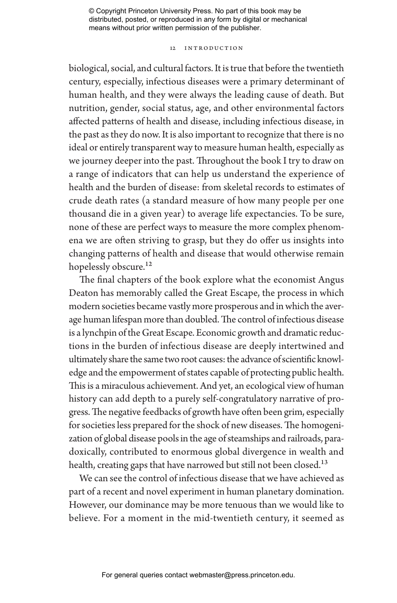## 12 Introduction

biological, social, and cultural factors. It is true that before the twentieth century, especially, infectious diseases were a primary determinant of human health, and they were always the leading cause of death. But nutrition, gender, social status, age, and other environmental factors affected patterns of health and disease, including infectious disease, in the past as they do now. It is also important to recognize that there is no ideal or entirely transparent way to measure human health, especially as we journey deeper into the past. Throughout the book I try to draw on a range of indicators that can help us understand the experience of health and the burden of disease: from skeletal records to estimates of crude death rates (a standard measure of how many people per one thousand die in a given year) to average life expectancies. To be sure, none of these are perfect ways to measure the more complex phenomena we are often striving to grasp, but they do offer us insights into changing patterns of health and disease that would otherwise remain hopelessly obscure.<sup>12</sup>

The final chapters of the book explore what the economist Angus Deaton has memorably called the Great Escape, the process in which modern societies became vastly more prosperous and in which the average human lifespan more than doubled. The control of infectious disease is a lynchpin of the Great Escape. Economic growth and dramatic reductions in the burden of infectious disease are deeply intertwined and ultimately share the same two root causes: the advance of scientific knowledge and the empowerment of states capable of protecting public health. This is a miraculous achievement. And yet, an ecological view of human history can add depth to a purely self-congratulatory narrative of progress. The negative feedbacks of growth have often been grim, especially for societies less prepared for the shock of new diseases. The homogenization of global disease pools in the age of steamships and railroads, paradoxically, contributed to enormous global divergence in wealth and health, creating gaps that have narrowed but still not been closed.<sup>13</sup>

We can see the control of infectious disease that we have achieved as part of a recent and novel experiment in human planetary domination. However, our dominance may be more tenuous than we would like to believe. For a moment in the mid-twentieth century, it seemed as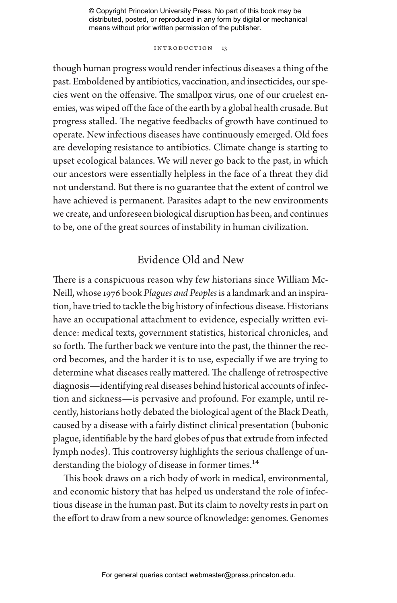INTRODUCTION 13

though human progress would render infectious diseases a thing of the past. Emboldened by antibiotics, vaccination, and insecticides, our species went on the offensive. The smallpox virus, one of our cruelest enemies, was wiped off the face of the earth by a global health crusade. But progress stalled. The negative feedbacks of growth have continued to operate. New infectious diseases have continuously emerged. Old foes are developing resistance to antibiotics. Climate change is starting to upset ecological balances. We will never go back to the past, in which our ancestors were essentially helpless in the face of a threat they did not understand. But there is no guarantee that the extent of control we have achieved is permanent. Parasites adapt to the new environments we create, and unforeseen biological disruption has been, and continues to be, one of the great sources of instability in human civilization.

# Evidence Old and New

There is a conspicuous reason why few historians since William Mc-Neill, whose 1976 book *Plagues and Peoples* is a landmark and an inspiration, have tried to tackle the big history of infectious disease. Historians have an occupational attachment to evidence, especially written evidence: medical texts, government statistics, historical chronicles, and so forth. The further back we venture into the past, the thinner the record becomes, and the harder it is to use, especially if we are trying to determine what diseases really mattered. The challenge of retrospective diagnosis—identifying real diseases behind historical accounts of infection and sickness—is pervasive and profound. For example, until recently, historians hotly debated the biological agent of the Black Death, caused by a disease with a fairly distinct clinical presentation (bubonic plague, identifiable by the hard globes of pus that extrude from infected lymph nodes). This controversy highlights the serious challenge of understanding the biology of disease in former times.<sup>14</sup>

This book draws on a rich body of work in medical, environmental, and economic history that has helped us understand the role of infectious disease in the human past. But its claim to novelty rests in part on the effort to draw from a new source of knowledge: genomes. Genomes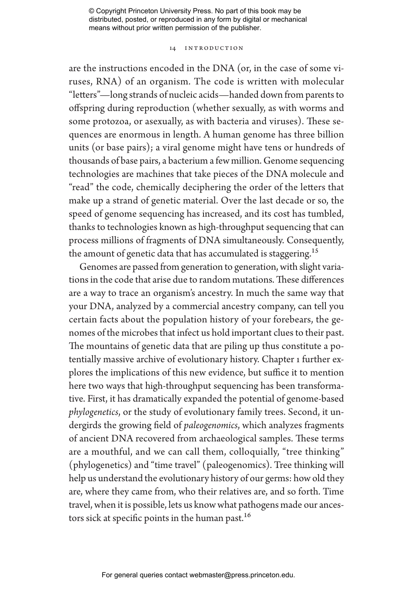# 14 Introduction

are the instructions encoded in the DNA (or, in the case of some viruses, RNA) of an organism. The code is written with molecular "letters"—long strands of nucleic acids—handed down from parents to offspring during reproduction (whether sexually, as with worms and some protozoa, or asexually, as with bacteria and viruses). These sequences are enormous in length. A human genome has three billion units (or base pairs); a viral genome might have tens or hundreds of thousands of base pairs, a bacterium a few million. Genome sequencing technologies are machines that take pieces of the DNA molecule and "read" the code, chemically deciphering the order of the letters that make up a strand of genetic material. Over the last decade or so, the speed of genome sequencing has increased, and its cost has tumbled, thanks to technologies known as high-throughput sequencing that can process millions of fragments of DNA simultaneously. Consequently, the amount of genetic data that has accumulated is staggering.<sup>15</sup>

Genomes are passed from generation to generation, with slight variations in the code that arise due to random mutations. These differences are a way to trace an organism's ancestry. In much the same way that your DNA, analyzed by a commercial ancestry company, can tell you certain facts about the population history of your forebears, the genomes of the microbes that infect us hold important clues to their past. The mountains of genetic data that are piling up thus constitute a potentially massive archive of evolutionary history. Chapter 1 further explores the implications of this new evidence, but suffice it to mention here two ways that high-throughput sequencing has been transformative. First, it has dramatically expanded the potential of genome-based *phylogenetics*, or the study of evolutionary family trees. Second, it undergirds the growing field of *paleogenomics*, which analyzes fragments of ancient DNA recovered from archaeological samples. These terms are a mouthful, and we can call them, colloquially, "tree thinking" (phylogenetics) and "time travel" (paleogenomics). Tree thinking will help us understand the evolutionary history of our germs: how old they are, where they came from, who their relatives are, and so forth. Time travel, when it is possible, lets us know what pathogens made our ancestors sick at specific points in the human past.<sup>16</sup>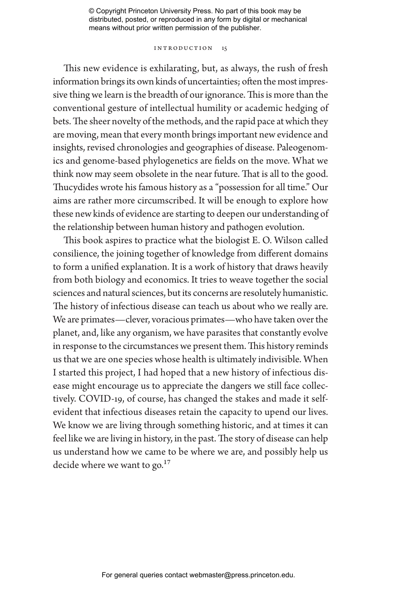# Introduction 15

This new evidence is exhilarating, but, as always, the rush of fresh information brings its own kinds of uncertainties; often the most impressive thing we learn is the breadth of our ignorance. This is more than the conventional gesture of intellectual humility or academic hedging of bets. The sheer novelty of the methods, and the rapid pace at which they are moving, mean that every month brings important new evidence and insights, revised chronologies and geographies of disease. Paleogenomics and genome-based phylogenetics are fields on the move. What we think now may seem obsolete in the near future. That is all to the good. Thucydides wrote his famous history as a "possession for all time." Our aims are rather more circumscribed. It will be enough to explore how these new kinds of evidence are starting to deepen our understanding of the relationship between human history and pathogen evolution.

This book aspires to practice what the biologist E. O. Wilson called consilience, the joining together of knowledge from different domains to form a unified explanation. It is a work of history that draws heavily from both biology and economics. It tries to weave together the social sciences and natural sciences, but its concerns are resolutely humanistic. The history of infectious disease can teach us about who we really are. We are primates—clever, voracious primates—who have taken over the planet, and, like any organism, we have parasites that constantly evolve in response to the circumstances we present them. This history reminds us that we are one species whose health is ultimately indivisible. When I started this project, I had hoped that a new history of infectious disease might encourage us to appreciate the dangers we still face collectively. COVID-19, of course, has changed the stakes and made it selfevident that infectious diseases retain the capacity to upend our lives. We know we are living through something historic, and at times it can feel like we are living in history, in the past. The story of disease can help us understand how we came to be where we are, and possibly help us decide where we want to go. $17$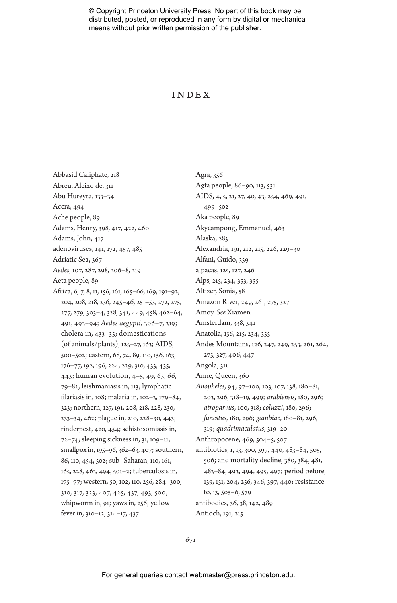# Index

Agra, 356

Abbasid Caliphate, 218 Abreu, Aleixo de, 311 Abu Hureyra, 133–34 Accra, 494 Ache people, 89 Adams, Henry, 398, 417, 422, 460 Adams, John, 417 adenoviruses, 141, 172, 457, 485 Adriatic Sea, 367 *Aedes*, 107, 287, 298, 306–8, 319 Aeta people, 89 Africa, 6, 7, 8, 11, 156, 161, 165–66, 169, 191–92, 204, 208, 218, 236, 245–46, 251–53, 272, 275, 277, 279, 303–4, 328, 341, 449, 458, 462–64, 491, 493–94; *Aedes aegypti*, 306–7, 319; cholera in, 433–35; domestications (of animals/plants), 125–27, 163; AIDS, 500–502; eastern, 68, 74, 89, 110, 156, 163, 176–77, 192, 196, 224, 229, 310, 433, 435, 443; human evolution, 4–5, 49, 63, 66, 79–82; leishmaniasis in, 113; lymphatic filariasis in, 108; malaria in, 102–3, 179–84, 323; northern, 127, 191, 208, 218, 228, 230, 233–34, 462; plague in, 210, 228–30, 443; rinderpest, 420, 454; schistosomiasis in, 72–74; sleeping sickness in, 31, 109–11; smallpox in, 195–96, 362–63, 407; southern, 86, 110, 454, 502; sub–Saharan, 110, 161, 165, 228, 463, 494, 501–2; tuberculosis in, 175–77; western, 50, 102, 110, 256, 284–300, 310, 317, 323, 407, 425, 437, 493, 500; whipworm in, 91; yaws in, 256; yellow fever in, 310–12, 314–17, 437

Agta people, 86–90, 113, 531 AIDS, 4, 5, 21, 27, 40, 43, 254, 469, 491, 499–502 Aka people, 89 Akyeampong, Emmanuel, 463 Alaska, 283 Alexandria, 191, 212, 215, 226, 229–30 Alfani, Guido, 359 alpacas, 125, 127, 246 Alps, 215, 234, 353, 355 Altizer, Sonia, 58 Amazon River, 249, 261, 275, 327 Amoy. *See* Xiamen Amsterdam, 338, 341 Anatolia, 156, 215, 234, 355 Andes Mountains, 126, 247, 249, 253, 261, 264, 275, 327, 406, 447 Angola, 311 Anne, Queen, 360 *Anopheles*, 94, 97–100, 103, 107, 138, 180–81, 203, 296, 318–19, 499; *arabiensis*, 180, 296; *atroparvus*, 100, 318; *coluzzi*, 180, 296; *funestus*, 180, 296; *gambiae*, 180–81, 296, 319; *quadrimaculatus*, 319–20 Anthropocene, 469, 504–5, 507 antibiotics, 1, 13, 300, 397, 440, 483–84, 505, 506; and mortality decline, 380, 384, 481, 483–84, 493, 494, 495, 497; period before, 139, 151, 204, 256, 346, 397, 440; resistance to, 13, 505–6, 579 antibodies, 36, 38, 142, 489 Antioch, 191, 215

#### 671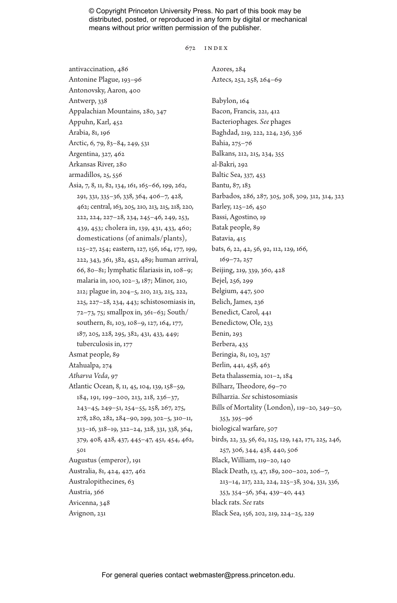672 Index

Azores, 284

antivaccination, 486 Antonine Plague, 193–96 Antonovsky, Aaron, 400 Antwerp, 338 Appalachian Mountains, 280, 347 Appuhn, Karl, 452 Arabia, 81, 196 Arctic, 6, 79, 83–84, 249, 531 Argentina, 327, 462 Arkansas River, 280 armadillos, 25, 556 Asia, 7, 8, 11, 82, 134, 161, 165–66, 199, 262, 291, 331, 335–36, 338, 364, 406–7, 428, 462; central, 163, 205, 210, 213, 215, 218, 220, 222, 224, 227–28, 234, 245–46, 249, 253, 439, 453; cholera in, 139, 431, 433, 460; domestications (of animals/plants), 125–27, 254; eastern, 127, 156, 164, 177, 199, 222, 343, 361, 382, 452, 489; human arrival, 66, 80–81; lymphatic filariasis in, 108–9; malaria in, 100, 102–3, 187; Minor, 210, 212; plague in, 204–5, 210, 213, 215, 222, 225, 227–28, 234, 443; schistosomiasis in, 72–73, 75; smallpox in, 361–63; South/ southern, 81, 103, 108–9, 127, 164, 177, 187, 205, 228, 295, 382, 431, 433, 449; tuberculosis in, 177 Asmat people, 89 Atahualpa, 274 *Atharva Veda*, 97 Atlantic Ocean, 8, 11, 45, 104, 139, 158–59, 184, 191, 199–200, 213, 218, 236–37, 243–45, 249–51, 254–55, 258, 267, 275, 278, 280, 282, 284–90, 299, 302–5, 310–11, 313–16, 318–19, 322–24, 328, 331, 338, 364, 379, 408, 428, 437, 445–47, 451, 454, 462, 501 Augustus (emperor), 191 Australia, 81, 424, 427, 462 Australopithecines, 63 Austria, 366 Avicenna, 348 Avignon, 231

Aztecs, 252, 258, 264–69 Babylon, 164 Bacon, Francis, 221, 412 Bacteriophages. *See* phages Baghdad, 219, 222, 224, 236, 336 Bahia, 275–76 Balkans, 212, 215, 234, 355 al-Bakri, 292 Baltic Sea, 337, 453 Bantu, 87, 183 Barbados, 286, 287, 305, 308, 309, 312, 314, 323 Barley, 125–26, 450 Bassi, Agostino, 19 Batak people, 89 Batavia, 415 bats, 6, 22, 42, 56, 92, 112, 129, 166, 169–72, 257 Beijing, 219, 339, 360, 428 Bejel, 256, 299 Belgium, 447, 500 Belich, James, 236 Benedict, Carol, 441 Benedictow, Ole, 233 Benin, 293 Berbera, 435 Beringia, 81, 103, 257 Berlin, 441, 458, 463 Beta thalassemia, 101–2, 184 Bilharz, Theodore, 69–70 Bilharzia. *See* schistosomiasis Bills of Mortality (London), 119–20, 349–50, 353, 395–96 biological warfare, 507 birds, 22, 33, 56, 62, 125, 129, 142, 171, 225, 246, 257, 306, 344, 438, 440, 506 Black, William, 119–20, 140 Black Death, 13, 47, 189, 200–202, 206–7, 213–14, 217, 222, 224, 225–38, 304, 331, 336, 353, 354–56, 364, 439–40, 443 black rats. *See* rats Black Sea, 156, 202, 219, 224–25, 229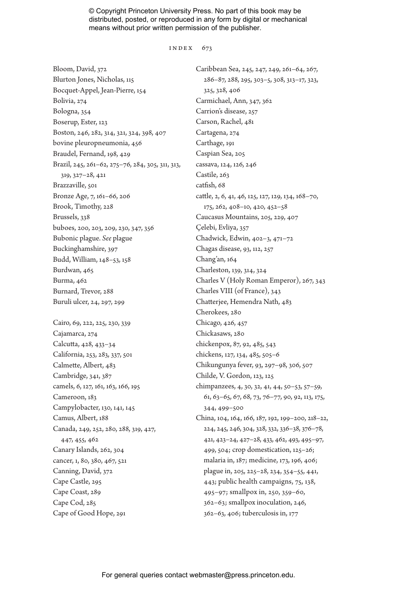#### INDEX  $673$

Bloom, David, 372 Blurton Jones, Nicholas, 115 Bocquet-Appel, Jean-Pierre, 154 Bolivia, 274 Bologna, 354 Boserup, Ester, 123 Boston, 246, 282, 314, 321, 324, 398, 407 bovine pleuropneumonia, 456 Braudel, Fernand, 198, 429 Brazil, 245, 261–62, 275–76, 284, 305, 311, 313, 319, 327–28, 421 Brazzaville, 501 Bronze Age, 7, 161–66, 206 Brook, Timothy, 228 Brussels, 338 buboes, 200, 203, 209, 230, 347, 356 Bubonic plague. *See* plague Buckinghamshire, 397 Budd, William, 148–53, 158 Burdwan, 465 Burma, 462 Burnard, Trevor, 288 Buruli ulcer, 24, 297, 299 Cairo, 69, 222, 225, 230, 339 Cajamarca, 274

Calcutta, 428, 433–34 California, 253, 283, 337, 501 Calmette, Albert, 483 Cambridge, 341, 387 camels, 6, 127, 161, 163, 166, 195 Cameroon, 183 Campylobacter, 130, 141, 145 Camus, Albert, 188 Canada, 249, 252, 280, 288, 319, 427, 447, 455, 462 Canary Islands, 262, 304 cancer, 1, 80, 380, 467, 521 Canning, David, 372 Cape Castle, 295 Cape Coast, 289 Cape Cod, 285 Cape of Good Hope, 291

Caribbean Sea, 245, 247, 249, 261–64, 267, 286–87, 288, 295, 303–5, 308, 313–17, 323, 325, 328, 406 Carmichael, Ann, 347, 362 Carrion's disease, 257 Carson, Rachel, 481 Cartagena, 274 Carthage, 191 Caspian Sea, 205 cassava, 124, 126, 246 Castile, 263 catfish, 68 cattle, 2, 6, 41, 46, 125, 127, 129, 134, 168–70, 175, 262, 408–10, 420, 452–58 Caucasus Mountains, 205, 229, 407 Çelebi, Evliya, 357 Chadwick, Edwin, 402–3, 471–72 Chagas disease, 93, 112, 257 Chang'an, 164 Charleston, 139, 314, 324 Charles V (Holy Roman Emperor), 267, 343 Charles VIII (of France), 343 Chatterjee, Hemendra Nath, 483 Cherokees, 280 Chicago, 426, 457 Chickasaws, 280 chickenpox, 87, 92, 485, 543 chickens, 127, 134, 485, 505–6 Chikungunya fever, 93, 297–98, 306, 507 Childe, V. Gordon, 123, 125 chimpanzees, 4, 30, 32, 41, 44, 50–53, 57–59, 61, 63–65, 67, 68, 73, 76–77, 90, 92, 113, 175, 344, 499–500 China, 104, 164, 166, 187, 192, 199–200, 218–22, 224, 245, 246, 304, 328, 332, 336–38, 376–78, 421, 423–24, 427–28, 433, 462, 493, 495–97, 499, 504; crop domestication, 125–26; malaria in, 187; medicine, 173, 196, 406; plague in, 205, 225–28, 234, 354–55, 441, 443; public health campaigns, 75, 138, 495–97; smallpox in, 250, 359–60, 362–63; smallpox inoculation, 246, 362–63, 406; tuberculosis in, 177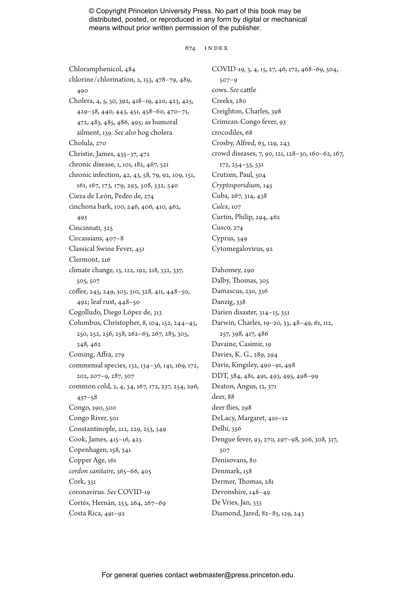#### 674 Index

Chloramphenicol, 484 chlorine/chlorination, 2, 153, 478–79, 489, 490 Cholera, 4, 5, 30, 392, 418–19, 420, 423, 425, 429–38, 440, 443, 451, 458–60, 470–71, 472, 483, 485, 486, 495; as humoral ailment, 139. *See also* hog cholera Cholula, 270 Christie, James, 435–37, 472 chronic disease, 1, 101, 182, 467, 521 chronic infection, 42, 43, 58, 79, 92, 109, 151, 161, 167, 173, 179, 293, 508, 532, 540 Cieza de León, Pedro de, 274 cinchona bark, 100, 246, 406, 410, 462, 493 Cincinnati, 325 Circassians, 407–8 Classical Swine Fever, 451 Clermont, 216 climate change, 13, 122, 192, 218, 332, 337, 505, 507 coffee, 245, 249, 305, 310, 328, 411, 448–50, 492; leaf rust, 448–50 Cogolludo, Diego López de, 313 Columbus, Christopher, 8, 104, 152, 244–45, 250, 252, 256, 258, 262–63, 267, 283, 305, 348, 462 Coming, Affra, 279 commensal species, 132, 134–36, 141, 169, 172, 202, 207–9, 287, 307 common cold, 2, 4, 34, 167, 172, 237, 254, 296, 457–58 Congo, 290, 500 Congo River, 501 Constantinople, 212, 229, 253, 349 Cook, James, 415–16, 425 Copenhagen, 158, 341 Copper Age, 161 *cordon sanitaire*, 365–66, 405 Cork, 351 coronavirus. *See* COVID-19 Cortés, Hernán, 253, 264, 267–69 Costa Rica, 491–92

COVID-19, 3, 4, 15, 27, 46, 172, 468–69, 504, 507–9 cows. *See* cattle Creeks, 280 Creighton, Charles, 398 Crimean-Congo fever, 93 crocodiles, 68 Crosby, Alfred, 63, 129, 243 crowd diseases, 7, 90, 121, 128–30, 160–62, 167, 172, 254–55, 531 Crutzen, Paul, 504 *Cryptosporidium*, 145 Cuba, 267, 314, 438 *Culex*, 107 Curtin, Philip, 294, 462 Cusco, 274 Cyprus, 349 Cytomegalovirus, 92 Dahomey, 290 Dalby, Thomas, 305 Damascus, 230, 336 Danzig, 338 Darien disaster, 314–15, 351 Darwin, Charles, 19–20, 33, 48–49, 61, 112, 257, 398, 417, 486 Davaine, Casimir, 19 Davies, K. G., 289, 294 Davis, Kingsley, 490–91, 498 DDT, 384, 481, 491, 493, 495, 498–99 Deaton, Angus, 12, 371 deer, 88 deer flies, 298 DeLacy, Margaret, 410–12 Delhi, 356 Dengue fever, 93, 270, 297–98, 306, 308, 317, 507 Denisovans, 80 Denmark, 158 Dermer, Thomas, 281 Devonshire, 148–49 De Vries, Jan, 333 Diamond, Jared, 82–83, 129, 243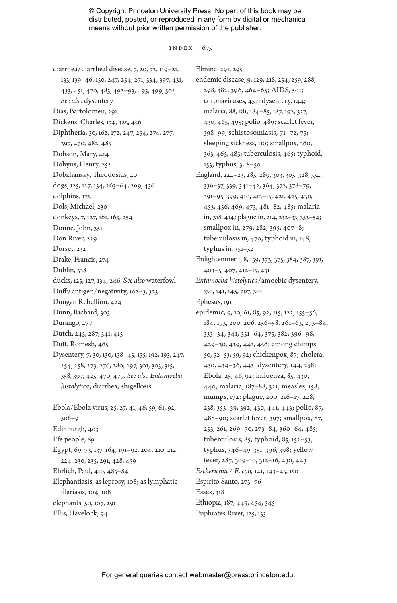#### Index 675

diarrhea/diarrheal disease, 7, 20, 72, 119–21, 133, 139–46, 150, 247, 254, 271, 334, 397, 431, 433, 451, 470, 483, 492–93, 495, 499, 502. *See also* dysentery Dias, Bartolomeu, 291 Dickens, Charles, 174, 325, 456 Diphtheria, 30, 162, 172, 247, 254, 274, 277, 397, 470, 482, 485 Dobson, Mary, 414 Dobyns, Henry, 252 Dobzhansky, Theodosius, 20 dogs, 125, 127, 134, 263–64, 269, 436 dolphins, 175 Dols, Michael, 230 donkeys, 7, 127, 161, 163, 254 Donne, John, 351 Don River, 229 Dorset, 232 Drake, Francis, 274 Dublin, 338 ducks, 125, 127, 134, 246. *See also* waterfowl Duffy antigen/negativity, 102–3, 323 Dungan Rebellion, 424 Dunn, Richard, 303 Durango, 277 Dutch, 245, 287, 341, 415 Dutt, Romesh, 465 Dysentery, 7, 30, 130, 138–45, 155, 192, 193, 247, 254, 258, 273, 276, 280, 297, 301, 303, 315, 358, 397, 425, 470, 479. *See also Entamoeba histolytica*; diarrhea; shigellosis Ebola/Ebola virus, 25, 27, 41, 46, 59, 61, 92, 508–9 Edinburgh, 403 Efe people, 89 Egypt, 69, 73, 137, 164, 191–92, 204, 210, 212, 224, 230, 235, 291, 428, 459 Ehrlich, Paul, 410, 483–84 Elephantiasis, as leprosy, 108; as lymphatic filariasis, 104, 108 elephants, 50, 107, 291

Ellis, Havelock, 94

Elmina, 291, 295

endemic disease, 9, 129, 218, 254, 259, 288, 298, 382, 396, 464–65; AIDS, 501; coronaviruses, 457; dysentery, 144; malaria, 88, 181, 184–85, 187, 192, 327, 430, 465, 495; polio, 489; scarlet fever, 398–99; schistosomiasis, 71–72, 75; sleeping sickness, 110; smallpox, 360, 363, 465, 485; tuberculosis, 465; typhoid, 153; typhus, 348–50 England, 222–23, 285, 289, 303, 305, 328, 332, 336–37, 339, 341–42, 364, 372, 378–79, 391–95, 399, 410, 413–15, 421, 425, 430, 453, 456, 469, 473, 481–82, 485; malaria in, 318, 414; plague in, 214, 232–33, 353–54; smallpox in, 279, 282, 395, 407–8; tuberculosis in, 470; typhoid in, 148; typhus in, 351–52 Enlightenment, 8, 139, 373, 375, 384, 387, 391, 403–5, 407, 412–15, 431 *Entamoeba histolytica*/amoebic dysentery, 130, 141, 145, 297, 301 Ephesus, 191 epidemic, 9, 10, 61, 85, 92, 115, 122, 155–56, 184, 193, 200, 206, 256–58, 261–63, 273–84, 333–34, 341, 351–64, 375, 382, 396–98, 429–30, 439, 443, 456; among chimps, 50, 52–53, 59, 92; chickenpox, 87; cholera, 430, 434–36, 443; dysentery, 144, 258; Ebola, 25, 46, 92; influenza, 85, 430, 440; malaria, 187–88, 321; measles, 158; mumps, 172; plague, 200, 216–17, 228, 238, 353–59, 392, 430, 441, 443; polio, 87, 488–90; scarlet fever, 397; smallpox, 87, 253, 261, 269–70, 273–84, 360–64, 485; tuberculosis, 85; typhoid, 85, 152–53; typhus, 346–49, 351, 396, 398; yellow fever, 287, 309–10, 312–16, 430, 443 *Escherichia* / *E. coli,* 141, 143–45, 150 Espírito Santo, 275–76 Essex, 318 Ethiopia, 187, 449, 454, 545 Euphrates River, 125, 133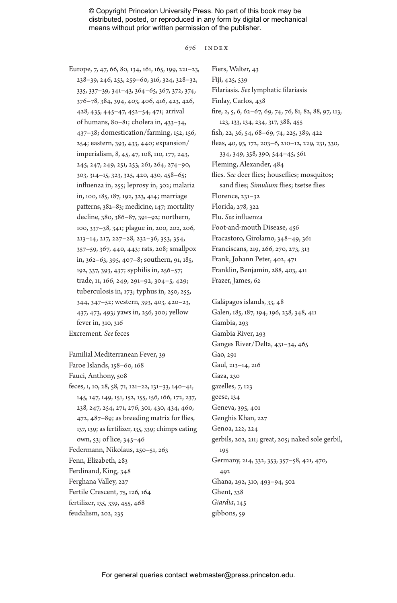676 Index

Europe, 7, 47, 66, 80, 134, 161, 165, 199, 221–23, 238–39, 246, 253, 259–60, 316, 324, 328–32, 335, 337–39, 341–43, 364–65, 367, 372, 374, 376–78, 384, 394, 403, 406, 416, 423, 426, 428, 435, 445–47, 452–54, 471; arrival of humans, 80–81; cholera in, 433–34, 437–38; domestication/farming, 152, 156, 254; eastern, 393, 433, 440; expansion/ imperialism, 8, 45, 47, 108, 110, 177, 243, 245, 247, 249, 251, 253, 261, 264, 274–90, 303, 314–15, 323, 325, 420, 430, 458–65; influenza in, 255; leprosy in, 302; malaria in, 100, 185, 187, 192, 323, 414; marriage patterns, 382–83; medicine, 147; mortality decline, 380, 386–87, 391–92; northern, 100, 337–38, 341; plague in, 200, 202, 206, 213–14, 217, 227–28, 232–36, 353, 354, 357–59, 367, 440, 443; rats, 208; smallpox in, 362–63, 395, 407–8; southern, 91, 185, 192, 337, 393, 437; syphilis in, 256–57; trade, 11, 166, 249, 291–92, 304–5, 429; tuberculosis in, 173; typhus in, 250, 255, 344, 347–52; western, 393, 403, 420–23, 437, 473, 493; yaws in, 256, 300; yellow fever in, 310, 316 Excrement. *See* feces

Familial Mediterranean Fever, 39 Faroe Islands, 158–60, 168 Fauci, Anthony, 508 feces, 1, 10, 28, 58, 71, 121–22, 131–33, 140–41, 145, 147, 149, 151, 152, 155, 156, 166, 172, 237, 238, 247, 254, 271, 276, 301, 430, 434, 460, 472, 487–89; as breeding matrix for flies, 137, 139; as fertilizer, 135, 339; chimps eating own, 53; of lice, 345–46 Federmann, Nikolaus, 250–51, 263 Fenn, Elizabeth, 283 Ferdinand, King, 348 Ferghana Valley, 227 Fertile Crescent, 75, 126, 164 fertilizer, 135, 339, 455, 468 feudalism, 202, 235

Fiers, Walter, 43 Fiji, 425, 539 Filariasis. *See* lymphatic filariasis Finlay, Carlos, 438 fire, 2, 5, 6, 62–67, 69, 74, 76, 81, 82, 88, 97, 113, 123, 133, 134, 234, 317, 388, 455 fish, 22, 36, 54, 68–69, 74, 225, 389, 422 fleas, 40, 93, 172, 203–6, 210–12, 229, 231, 330, 334, 349, 358, 390, 544–45, 561 Fleming, Alexander, 484 flies. *See* deer flies; houseflies; mosquitos; sand flies; *Simulium* flies; tsetse flies Florence, 231–32 Florida, 278, 322 Flu. *See* influenza Foot-and-mouth Disease, 456 Fracastoro, Girolamo, 348–49, 361 Franciscans, 219, 266, 270, 273, 313 Frank, Johann Peter, 402, 471 Franklin, Benjamin, 288, 403, 411 Frazer, James, 62

Galápagos islands, 33, 48 Galen, 185, 187, 194, 196, 238, 348, 411 Gambia, 293 Gambia River, 293 Ganges River/Delta, 431–34, 465 Gao, 291 Gaul, 213–14, 216 Gaza, 230 gazelles, 7, 123 geese, 134 Geneva, 395, 401 Genghis Khan, 227 Genoa, 222, 224 gerbils, 202, 211; great, 205; naked sole gerbil, 195 Germany, 214, 332, 353, 357–58, 421, 470, 492 Ghana, 292, 310, 493–94, 502 Ghent, 338 *Giardia*, 145 gibbons, 59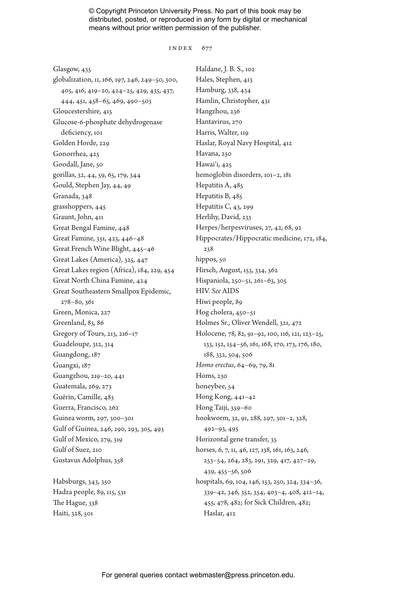#### INDEX 677

Glasgow, 435 globalization, 11, 166, 197, 246, 249–50, 300, 405, 416, 419–20, 424–25, 429, 435, 437, 444, 451, 458–65, 469, 490–503 Gloucestershire, 415 Glucose-6-phosphate dehydrogenase deficiency, 101 Golden Horde, 229 Gonorrhea, 425 Goodall, Jane, 50 gorillas, 32, 44, 59, 65, 179, 344 Gould, Stephen Jay, 44, 49 Granada, 348 grasshoppers, 445 Graunt, John, 411 Great Bengal Famine, 448 Great Famine, 351, 423, 446–48 Great French Wine Blight, 445–46 Great Lakes (America), 325, 447 Great Lakes region (Africa), 184, 229, 454 Great North China Famine, 424 Great Southeastern Smallpox Epidemic, 278–80, 361 Green, Monica, 227 Greenland, 83, 86 Gregory of Tours, 213, 216–17 Guadeloupe, 312, 314 Guangdong, 187 Guangxi, 187 Guangzhou, 219–20, 441 Guatemala, 269, 273 Guérin, Camille, 483 Guerra, Francisco, 262 Guinea worm, 297, 300–301 Gulf of Guinea, 246, 290, 293, 305, 493 Gulf of Mexico, 279, 319 Gulf of Suez, 210 Gustavus Adolphus, 358

Habsburgs, 343, 350 Hadza people, 89, 115, 531 The Hague, 338 Haiti, 328, 501

Haldane, J. B. S., 102 Hales, Stephen, 413 Hamburg, 338, 434 Hamlin, Christopher, 431 Hangzhou, 236 Hantavirus, 270 Harris, Walter, 119 Haslar, Royal Navy Hospital, 412 Havana, 250 Hawai'i, 425 hemoglobin disorders, 101–2, 181 Hepatitis A, 485 Hepatitis B, 485 Hepatitis C, 43, 299 Herlihy, David, 233 Herpes/herpesviruses, 27, 42, 68, 92 Hippocrates/Hippocratic medicine, 172, 184, 238 hippos, 50 Hirsch, August, 153, 334, 562 Hispaniola, 250–51, 261–63, 305 HIV. *See* AIDS Hiwi people, 89 Hog cholera, 450–51 Holmes Sr., Oliver Wendell, 321, 472 Holocene, 78, 82, 91–92, 100, 116, 121, 123–25, 133, 152, 154–56, 161, 168, 170, 173, 176, 180, 188, 332, 504, 506 *Homo erectus*, 64–69, 79, 81 Homs, 230 honeybee, 54 Hong Kong, 441–42 Hong Taiji, 359–60 hookworm, 32, 91, 288, 297, 301–2, 328, 492–93, 495 Horizontal gene transfer, 35 horses, 6, 7, 11, 46, 127, 138, 161, 163, 246, 253–54, 264, 283, 291, 329, 417, 427–29, 439, 455–56, 506 hospitals, 69, 104, 146, 153, 250, 324, 334–36, 339–42, 346, 352, 354, 403–4, 408, 412–14, 455, 478, 482; for Sick Children, 482; Haslar, 412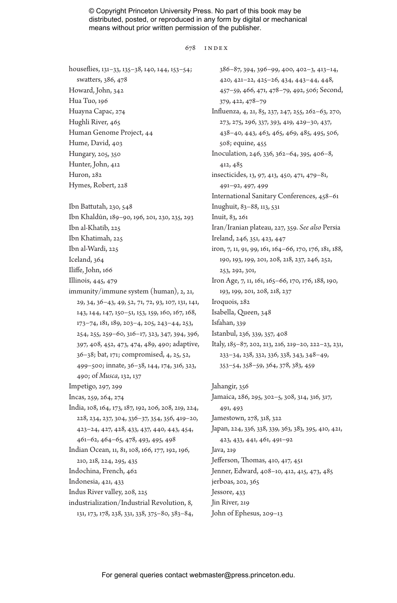#### 678 Index

houseflies, 131–33, 135–38, 140, 144, 153–54; swatters, 386, 478 Howard, John, 342 Hua Tuo, 196 Huayna Capac, 274 Hughli River, 465 Human Genome Project, 44 Hume, David, 403 Hungary, 205, 350 Hunter, John, 412 Huron, 282 Hymes, Robert, 228 Ibn Battutah, 230, 548 Ibn Khaldūn, 189–90, 196, 201, 230, 235, 293 Ibn al-Khatib, 225 Ibn Khatimah, 225 Ibn al-Wardi, 225 Iceland, 364 Iliffe, John, 166 Illinois, 445, 479 immunity/immune system (human), 2, 21, 29, 34, 36–43, 49, 52, 71, 72, 93, 107, 131, 141, 143, 144, 147, 150–51, 153, 159, 160, 167, 168, 173–74, 181, 189, 203–4, 205, 243–44, 253, 254, 255, 259–60, 316–17, 323, 347, 394, 396, 397, 408, 452, 473, 474, 489, 490; adaptive, 36–38; bat, 171; compromised, 4, 25, 52, 499–500; innate, 36–38, 144, 174, 316, 323, 490; of *Musca*, 132, 137 Impetigo, 297, 299 Incas, 259, 264, 274 India, 108, 164, 173, 187, 192, 206, 208, 219, 224, 228, 234, 237, 304, 336–37, 354, 356, 419–20, 423–24, 427, 428, 433, 437, 440, 443, 454, 461–62, 464–65, 478, 493, 495, 498 Indian Ocean, 11, 81, 108, 166, 177, 192, 196, 210, 218, 224, 295, 435 Indochina, French, 462 Indonesia, 421, 433 Indus River valley, 208, 225 industrialization/Industrial Revolution, 8, 131, 173, 178, 238, 331, 338, 375–80, 383–84,

386–87, 394, 396–99, 400, 402–3, 413–14, 420, 421–22, 425–26, 434, 443–44, 448, 457–59, 466, 471, 478–79, 492, 506; Second, 379, 422, 478–79 Influenza, 4, 21, 85, 237, 247, 255, 262–63, 270, 273, 275, 296, 337, 393, 419, 429–30, 437, 438–40, 443, 463, 465, 469, 485, 495, 506, 508; equine, 455 Inoculation, 246, 336, 362–64, 395, 406–8, 412, 485 insecticides, 13, 97, 413, 450, 471, 479–81, 491–92, 497, 499 International Sanitary Conferences, 458–61 Inughuit, 83–88, 113, 531 Inuit, 83, 261 Iran/Iranian plateau, 227, 359. *See also* Persia Ireland, 246, 351, 423, 447 iron, 7, 11, 91, 99, 161, 164–66, 170, 176, 181, 188, 190, 193, 199, 201, 208, 218, 237, 246, 252, 253, 292, 301, Iron Age, 7, 11, 161, 165–66, 170, 176, 188, 190, 193, 199, 201, 208, 218, 237 Iroquois, 282 Isabella, Queen, 348 Isfahan, 339 Istanbul, 236, 339, 357, 408 Italy, 185–87, 202, 213, 216, 219–20, 222–23, 231, 233–34, 238, 332, 336, 338, 343, 348–49, 353–54, 358–59, 364, 378, 383, 459 Jahangir, 356 Jamaica, 286, 295, 302–5, 308, 314, 316, 317,

491, 493 Jamestown, 278, 318, 322 Japan, 224, 336, 338, 339, 363, 383, 395, 410, 421, 423, 433, 441, 461, 491–92 Java, 219 Jefferson, Thomas, 410, 417, 451 Jenner, Edward, 408–10, 412, 415, 473, 485 jerboas, 202, 365 Jessore, 433 Jin River, 219

John of Ephesus, 209–13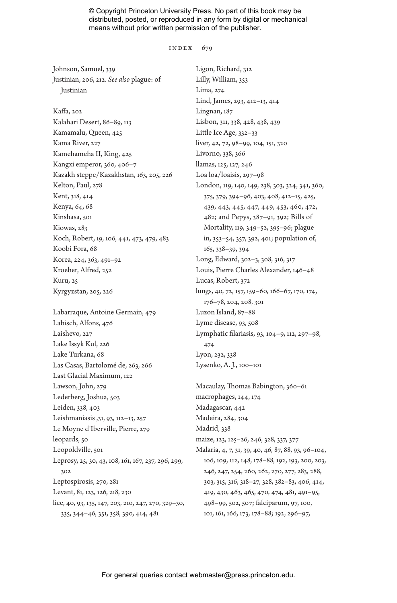#### INDEX 679

Johnson, Samuel, 339 Justinian, 206, 212. *See also* plague: of Justinian

Kaffa, 202 Kalahari Desert, 86–89, 113 Kamamalu, Queen, 425 Kama River, 227 Kamehameha II, King, 425 Kangxi emperor, 360, 406–7 Kazakh steppe/Kazakhstan, 163, 205, 226 Kelton, Paul, 278 Kent, 318, 414 Kenya, 64, 68 Kinshasa, 501 Kiowas, 283 Koch, Robert, 19, 106, 441, 473, 479, 483 Koobi Fora, 68 Korea, 224, 363, 491–92 Kroeber, Alfred, 252 Kuru, 25 Kyrgyzstan, 205, 226

Labarraque, Antoine Germain, 479 Labisch, Alfons, 476 Laishevo, 227 Lake Issyk Kul, 226 Lake Turkana, 68 Las Casas, Bartolomé de, 263, 266 Last Glacial Maximum, 122 Lawson, John, 279 Lederberg, Joshua, 503 Leiden, 338, 403 Leishmaniasis ,31, 93, 112–13, 257 Le Moyne d'Iberville, Pierre, 279 leopards, 50 Leopoldville, 501 Leprosy, 25, 30, 43, 108, 161, 167, 237, 296, 299, 302 Leptospirosis, 270, 281 Levant, 81, 123, 126, 218, 230 lice, 40, 93, 135, 147, 203, 210, 247, 270, 329–30, 335, 344–46, 351, 358, 390, 414, 481

Ligon, Richard, 312 Lilly, William, 353 Lima, 274 Lind, James, 293, 412–13, 414 Lingnan, 187 Lisbon, 311, 338, 428, 438, 439 Little Ice Age, 332–33 liver, 42, 72, 98–99, 104, 151, 320 Livorno, 338, 366 llamas, 125, 127, 246 Loa loa/loaisis, 297–98 London, 119, 140, 149, 238, 303, 324, 341, 360, 375, 379, 394–96, 403, 408, 412–15, 425, 439, 443, 445, 447, 449, 453, 460, 472, 482; and Pepys, 387–91, 392; Bills of Mortality, 119, 349–52, 395–96; plague in, 353–54, 357, 392, 401; population of, 165, 338–39, 394 Long, Edward, 302–3, 308, 316, 317 Louis, Pierre Charles Alexander, 146–48 Lucas, Robert, 372 lungs, 40, 72, 157, 159–60, 166–67, 170, 174, 176–78, 204, 208, 301 Luzon Island, 87–88 Lyme disease, 93, 508 Lymphatic filariasis, 93, 104–9, 112, 297–98, 474 Lyon, 232, 338 Lysenko, A. J., 100–101

Macaulay, Thomas Babington, 360–61 macrophages, 144, 174 Madagascar, 442 Madeira, 284, 304 Madrid, 338 maize, 123, 125–26, 246, 328, 337, 377 Malaria, 4, 7, 31, 39, 40, 46, 87, 88, 93, 96–104, 106, 109, 112, 148, 178–88, 192, 193, 200, 203, 246, 247, 254, 260, 262, 270, 277, 283, 288, 303, 315, 316, 318–27, 328, 382–83, 406, 414, 419, 430, 463, 465, 470, 474, 481, 491–95, 498–99, 502, 507; falciparum, 97, 100, 101, 161, 166, 173, 178–88; 192, 296–97,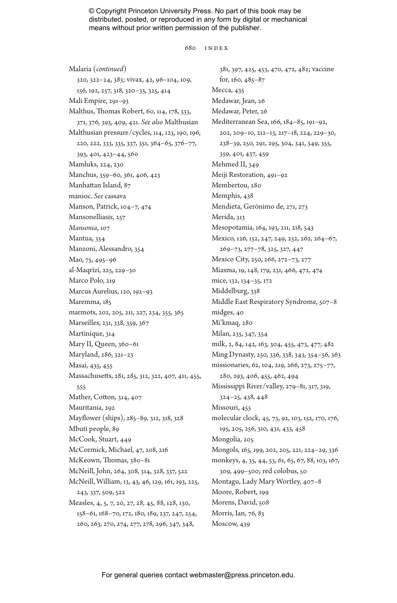#### 680 Index

Malaria (*continued*) 320, 322–24, 383; vivax, 42, 96–104, 109, 156, 192, 257, 318, 320–33, 325, 414 Mali Empire, 291–93 Malthus, Thomas Robert, 60, 114, 178, 333, 371, 376, 393, 409, 421. *See also* Malthusian Malthusian pressure/cycles, 114, 123, 190, 196, 220, 222, 333, 335, 337, 351, 364–65, 376–77, 393, 401, 423–44, 560 Mamluks, 224, 230 Manchus, 359–60, 361, 406, 423 Manhattan Island, 87 manioc. *See* cassava Manson, Patrick, 104–7, 474 Mansonelliasis, 257 *Mansonia*, 107 Mantua, 354 Manzoni, Alessandro, 354 Mao, 75, 495–96 al-Maqrīzī, 225, 229–30 Marco Polo, 219 Marcus Aurelius, 120, 192–93 Maremma, 185 marmots, 202, 205, 211, 227, 234, 355, 365 Marseilles, 231, 338, 359, 367 Martinique, 314 Mary II, Queen, 360–61 Maryland, 286, 321–23 Masai, 435, 455 Massachusetts, 281, 285, 312, 322, 407, 411, 455, 555 Mather, Cotton, 314, 407 Mauritania, 292 Mayflower (ships), 285–89, 312, 318, 328 Mbuti people, 89 McCook, Stuart, 449 McCormick, Michael, 47, 208, 216 McKeown, Thomas, 380–81 McNeill, John, 264, 308, 314, 328, 337, 522 McNeill, William, 13, 43, 46, 129, 161, 193, 225, 243, 337, 509, 522 Measles, 4, 5, 7, 20, 27, 28, 45, 88, 128, 130, 158–61, 168–70, 172, 180, 189, 237, 247, 254, 260, 263, 270, 274, 277, 278, 296, 347, 348,

381, 397, 425, 453, 470, 472, 482; vaccine for, 160, 485–87 Mecca, 435 Medawar, Jean, 26 Medawar, Peter, 26 Mediterranean Sea, 166, 184–85, 191–92, 202, 209–10, 212–13, 217–18, 224, 229–30, 238–39, 250, 291, 295, 304, 341, 349, 355, 359, 401, 437, 459 Mehmed II, 349 Meiji Restoration, 491–92 Membertou, 280 Memphis, 438 Mendieta, Gerónimo de, 271, 273 Merida, 313 Mesopotamia, 164, 193, 211, 218, 543 Mexico, 126, 152, 247, 249, 252, 262, 264–67, 269–73, 277–78, 325, 327, 447 Mexico City, 250, 266, 272–73, 277 Miasma, 19, 148, 179, 231, 466, 472, 474 mice, 132, 134–35, 172 Middelburg, 338 Middle East Respiratory Syndrome, 507–8 midges, 40 Mi'kmaq, 280 Milan, 235, 347, 354 milk, 2, 84, 142, 163, 304, 455, 473, 477, 482 Ming Dynasty, 250, 336, 338, 343, 354–56, 363 missionaries, 62, 104, 219, 266, 273, 275–77, 280, 293, 406, 455, 462, 494 Mississippi River/valley, 279–81, 317, 319, 324–25, 438, 448 Missouri, 455 molecular clock, 45, 73, 92, 103, 152, 170, 176, 195, 205, 256, 310, 431, 433, 458 Mongolia, 205 Mongols, 165, 199, 202, 205, 221, 224–29, 336 monkeys, 4, 35, 44, 53, 61, 65, 67, 88, 103, 167, 309, 499–500; red colobus, 50 Montagu, Lady Mary Wortley, 407–8 Moore, Robert, 199 Morens, David, 508 Morris, Ian, 76, 83 Moscow, 439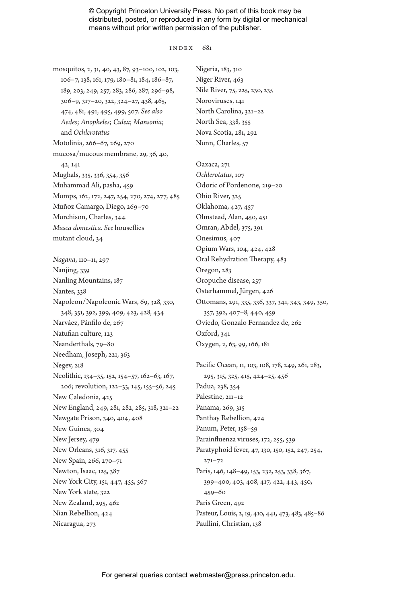#### Index 681

mosquitos, 2, 31, 40, 43, 87, 93–100, 102, 103, 106–7, 138, 161, 179, 180–81, 184, 186–87, 189, 203, 249, 257, 283, 286, 287, 296–98, 306–9, 317–20, 322, 324–27, 438, 465, 474, 481, 491, 495, 499, 507. *See also Aedes*; *Anopheles*; *Culex*; *Mansonia*; and *Ochlerotatus* Motolinia, 266–67, 269, 270 mucosa/mucous membrane, 29, 36, 40, 42, 141 Mughals, 335, 336, 354, 356 Muhammad Ali, pasha, 459 Mumps, 162, 172, 247, 254, 270, 274, 277, 485 Muñoz Camargo, Diego, 269–70 Murchison, Charles, 344 *Musca domestica*. *See* houseflies mutant cloud, 34

*Nagana*, 110–11, 297 Nanjing, 339 Nanling Mountains, 187 Nantes, 338 Napoleon/Napoleonic Wars, 69, 328, 330, 348, 351, 392, 399, 409, 423, 428, 434 Narváez, Pánfilo de, 267 Natufian culture, 123 Neanderthals, 79–80 Needham, Joseph, 221, 363 Negev, 218 Neolithic, 134–35, 152, 154–57, 162–63, 167, 206; revolution, 122–33, 145, 155–56, 245 New Caledonia, 425 New England, 249, 281, 282, 285, 318, 321–22 Newgate Prison, 340, 404, 408 New Guinea, 304 New Jersey, 479 New Orleans, 316, 317, 455 New Spain, 266, 270–71 Newton, Isaac, 125, 387 New York City, 151, 447, 455, 567 New York state, 322 New Zealand, 295, 462 Nian Rebellion, 424 Nicaragua, 273

Nigeria, 183, 310 Niger River, 463 Nile River, 75, 225, 230, 235 Noroviruses, 141 North Carolina, 321–22 North Sea, 338, 355 Nova Scotia, 281, 292 Nunn, Charles, 57

Oaxaca, 271 *Ochlerotatus*, 107 Odoric of Pordenone, 219–20 Ohio River, 325 Oklahoma, 427, 457 Olmstead, Alan, 450, 451 Omran, Abdel, 375, 391 Onesimus, 407 Opium Wars, 104, 424, 428 Oral Rehydration Therapy, 483 Oregon, 283 Oropuche disease, 257 Osterhammel, Jürgen, 426 Ottomans, 291, 335, 336, 337, 341, 343, 349, 350, 357, 392, 407–8, 440, 459 Oviedo, Gonzalo Fernandez de, 262 Oxford, 341 Oxygen, 2, 63, 99, 166, 181

Pacific Ocean, 11, 103, 108, 178, 249, 261, 283, 295, 315, 325, 415, 424–25, 456 Padua, 238, 354 Palestine, 211–12 Panama, 269, 315 Panthay Rebellion, 424 Panum, Peter, 158–59 Parainfluenza viruses, 172, 255, 539 Paratyphoid fever, 47, 130, 150, 152, 247, 254, 271–72 Paris, 146, 148–49, 153, 232, 253, 338, 367, 399–400, 403, 408, 417, 422, 443, 450, 459–60 Paris Green, 492 Pasteur, Louis, 2, 19, 410, 441, 473, 483, 485–86 Paullini, Christian, 138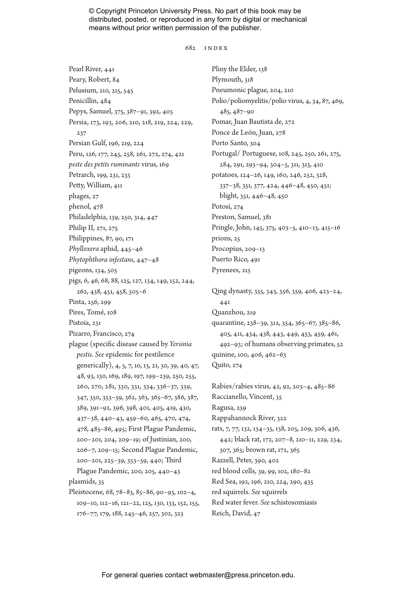682 Index

Pearl River, 441 Peary, Robert, 84 Pelusium, 210, 215, 545 Penicillin, 484 Pepys, Samuel, 375, 387–91, 392, 405 Persia, 173, 193, 206, 210, 218, 219, 224, 229, 237 Persian Gulf, 196, 219, 224 Peru, 126, 177, 245, 258, 261, 272, 274, 421 *peste des petits ruminants* virus, 169 Petrarch, 199, 231, 233 Petty, William, 411 phages, 27 phenol, 478 Philadelphia, 139, 250, 314, 447 Philip II, 271, 275 Philippines, 87, 90, 171 *Phylloxera* aphid, 445–46 *Phytophthora infestans*, 447–48 pigeons, 134, 505 pigs, 6, 46, 68, 88, 125, 127, 134, 149, 152, 244, 262, 438, 451, 458, 505–6 Pinta, 256, 299 Pires, Tomé, 108 Pistoia, 231 Pizarro, Francisco, 274 plague (specific disease caused by *Yersinia pestis*. *See* epidemic for pestilence generically), 4, 5, 7, 10, 13, 21, 30, 39, 40, 47, 48, 93, 130, 169, 189, 197, 199–239, 250, 255, 260, 270, 281, 330, 331, 334, 336–37, 339, 347, 350, 353–59, 362, 363, 365–67, 386, 387, 389, 391–92, 396, 398, 401, 405, 419, 430, 437–38, 440–43, 459–60, 465, 470, 474, 478, 485–86, 495; First Plague Pandemic, 200–201, 204, 209–19; of Justinian, 200, 206–7, 209–15; Second Plague Pandemic, 200–201, 225–39, 353–59, 440; Third Plague Pandemic, 200, 205, 440–43 plasmids, 35 Pleistocene, 68, 78–83, 85–86, 90–93, 102–4, 109–10, 112–16, 121–22, 125, 130, 133, 152, 155, 176–77, 179, 188, 245–46, 257, 302, 323

Pliny the Elder, 138 Plymouth, 318 Pneumonic plague, 204, 210 Polio/poliomyelitis/polio virus, 4, 34, 87, 469, 485, 487–90 Pomar, Juan Bautista de, 272 Ponce de León, Juan, 278 Porto Santo, 304 Portugal/ Portuguese, 108, 245, 250, 261, 275, 284, 291, 293–94, 304–5, 311, 313, 410 potatoes, 124–26, 149, 160, 246, 252, 328, 337–38, 351, 377, 424, 446–48, 450, 451; blight, 351, 446–48, 450 Potosí, 274 Preston, Samuel, 381 Pringle, John, 145, 375, 403–5, 410–13, 415–16 prions, 25 Procopius, 209–13 Puerto Rico, 491 Pyrenees, 215

Qing dynasty, 335, 343, 356, 359, 406, 423–24, 441 Quanzhou, 219 quarantine, 238–39, 312, 354, 365–67, 385–86, 405, 411, 434, 438, 443, 449, 453, 459, 461, 492–93; of humans observing primates, 52 quinine, 100, 406, 462–63 Quito, 274

Rabies/rabies virus, 42, 92, 203–4, 485–86 Raccianello, Vincent, 35 Ragusa, 239 Rappahannock River, 322 rats, 7, 77, 132, 134–35, 138, 205, 209, 306, 436, 442; black rat, 172, 207–8, 210–11, 229, 234, 307, 365; brown rat, 172, 365 Razzell, Peter, 390, 402 red blood cells, 39, 99, 102, 180–82 Red Sea, 192, 196, 210, 224, 290, 435 red squirrels*. See* squirrels Red water fever. *See* schistosomiasis Reich, David, 47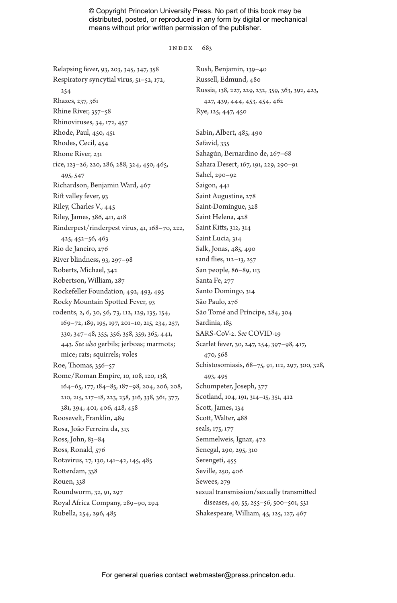#### INDEX  $683$

Relapsing fever, 93, 203, 345, 347, 358 Respiratory syncytial virus, 51–52, 172, 254 Rhazes, 237, 361 Rhine River, 357–58 Rhinoviruses, 34, 172, 457 Rhode, Paul, 450, 451 Rhodes, Cecil, 454 Rhone River, 231 rice, 123–26, 220, 286, 288, 324, 450, 465, 495, 547 Richardson, Benjamin Ward, 467 Rift valley fever, 93 Riley, Charles V., 445 Riley, James, 386, 411, 418 Rinderpest/rinderpest virus, 41, 168–70, 222, 425, 452–56, 463 Rio de Janeiro, 276 River blindness, 93, 297–98 Roberts, Michael, 342 Robertson, William, 287 Rockefeller Foundation, 492, 493, 495 Rocky Mountain Spotted Fever, 93 rodents, 2, 6, 30, 56, 73, 112, 129, 135, 154, 169–72, 189, 195, 197, 201–10, 215, 234, 257, 330, 347–48, 355, 356, 358, 359, 365, 441, 443. *See also* gerbils; jerboas; marmots; mice; rats; squirrels; voles Roe, Thomas, 356–57 Rome/Roman Empire, 10, 108, 120, 138, 164–65, 177, 184–85, 187–98, 204, 206, 208, 210, 215, 217–18, 223, 238, 316, 338, 361, 377, 381, 394, 401, 406, 428, 458 Roosevelt, Franklin, 489 Rosa, João Ferreira da, 313 Ross, John, 83–84 Ross, Ronald, 576 Rotavirus, 27, 130, 141–42, 145, 485 Rotterdam, 338 Rouen, 338 Roundworm, 32, 91, 297 Royal Africa Company, 289–90, 294 Rubella, 254, 296, 485

Rush, Benjamin, 139–40 Russell, Edmund, 480 Russia, 138, 227, 229, 232, 359, 363, 392, 423, 427, 439, 444, 453, 454, 462 Rye, 125, 447, 450 Sabin, Albert, 485, 490 Safavid, 335 Sahagún, Bernardino de, 267–68 Sahara Desert, 167, 191, 229, 290–91 Sahel, 290–92 Saigon, 441 Saint Augustine, 278 Saint-Domingue, 328 Saint Helena, 428 Saint Kitts, 312, 314 Saint Lucia, 314 Salk, Jonas, 485, 490 sand flies, 112–13, 257 San people, 86–89, 113 Santa Fe, 277 Santo Domingo, 314 São Paulo, 276 São Tomé and Príncipe, 284, 304 Sardinia, 185 SARS-CoV-2. *See* COVID-19 Scarlet fever, 30, 247, 254, 397–98, 417, 470, 568 Schistosomiasis, 68–75, 91, 112, 297, 300, 328, 493, 495 Schumpeter, Joseph, 377 Scotland, 104, 191, 314–15, 351, 412 Scott, James, 134 Scott, Walter, 488 seals, 175, 177 Semmelweis, Ignaz, 472 Senegal, 290, 295, 310 Serengeti, 455 Seville, 250, 406 Sewees, 279 sexual transmission/sexually transmitted diseases, 40, 55, 255–56, 500–501, 531 Shakespeare, William, 45, 125, 127, 467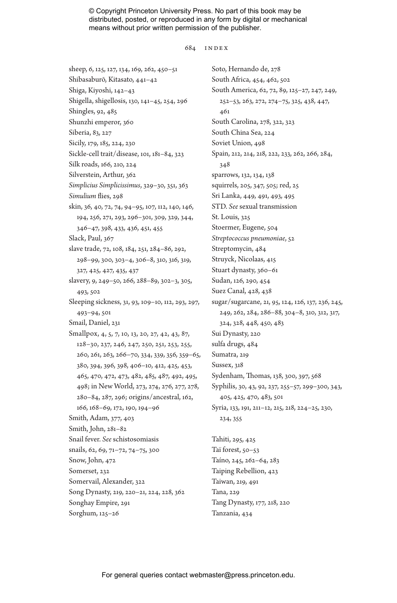#### 684 Index

sheep, 6, 125, 127, 134, 169, 262, 450–51 Shibasaburō, Kitasato, 441–42 Shiga, Kiyoshi, 142–43 Shigella, shigellosis, 130, 141–45, 254, 296 Shingles, 92, 485 Shunzhi emperor, 360 Siberia, 83, 227 Sicily, 179, 185, 224, 230 Sickle-cell trait/disease, 101, 181–84, 323 Silk roads, 166, 210, 224 Silverstein, Arthur, 362 *Simplicius Simplicissimus*, 329–30, 351, 363 *Simulium* flies, 298 skin, 36, 40, 72, 74, 94–95, 107, 112, 140, 146, 194, 256, 271, 293, 296–301, 309, 329, 344, 346–47, 398, 433, 436, 451, 455 Slack, Paul, 367 slave trade, 72, 108, 184, 251, 284–86, 292, 298–99, 300, 303–4, 306–8, 310, 316, 319, 327, 425, 427, 435, 437 slavery, 9, 249–50, 266, 288–89, 302–3, 305, 493, 502 Sleeping sickness, 31, 93, 109–10, 112, 293, 297, 493–94, 501 Smail, Daniel, 231 Smallpox, 4, 5, 7, 10, 13, 20, 27, 42, 43, 87, 128–30, 237, 246, 247, 250, 251, 253, 255, 260, 261, 263, 266–70, 334, 339, 356, 359–65, 380, 394, 396, 398, 406–10, 412, 425, 453, 465, 470, 472, 473, 482, 485, 487, 492, 495, 498; in New World, 273, 274, 276, 277, 278, 280–84, 287, 296; origins/ancestral, 162, 166, 168–69, 172, 190, 194–96 Smith, Adam, 377, 403 Smith, John, 281–82 Snail fever. *See* schistosomiasis snails, 62, 69, 71–72, 74–75, 300 Snow, John, 472 Somerset, 232 Somervail, Alexander, 322 Song Dynasty, 219, 220–21, 224, 228, 362 Songhay Empire, 291 Sorghum, 125–26

Soto, Hernando de, 278 South Africa, 454, 462, 502 South America, 62, 72, 89, 125–27, 247, 249, 252–53, 263, 272, 274–75, 325, 438, 447, 461 South Carolina, 278, 322, 323 South China Sea, 224 Soviet Union, 498 Spain, 212, 214, 218, 222, 233, 262, 266, 284, 348 sparrows, 132, 134, 138 squirrels, 205, 347, 505; red, 25 Sri Lanka, 449, 491, 493, 495 STD. *See* sexual transmission St. Louis, 325 Stoermer, Eugene, 504 *Streptococcus pneumoniae*, 52 Streptomycin, 484 Struyck, Nicolaas, 415 Stuart dynasty, 360–61 Sudan, 126, 290, 454 Suez Canal, 428, 438 sugar/sugarcane, 21, 95, 124, 126, 137, 236, 245, 249, 262, 284, 286–88, 304–8, 310, 312, 317, 324, 328, 448, 450, 483 Sui Dynasty, 220 sulfa drugs, 484 Sumatra, 219 Sussex, 318 Sydenham, Thomas, 138, 300, 397, 568 Syphilis, 30, 43, 92, 237, 255–57, 299–300, 343, 405, 425, 470, 483, 501 Syria, 133, 191, 211–12, 215, 218, 224–25, 230, 234, 355 Tahiti, 295, 425

Taï forest, 50–53 Taíno, 245, 262–64, 283 Taiping Rebellion, 423 Taiwan, 219, 491 Tana, 229 Tang Dynasty, 177, 218, 220 Tanzania, 434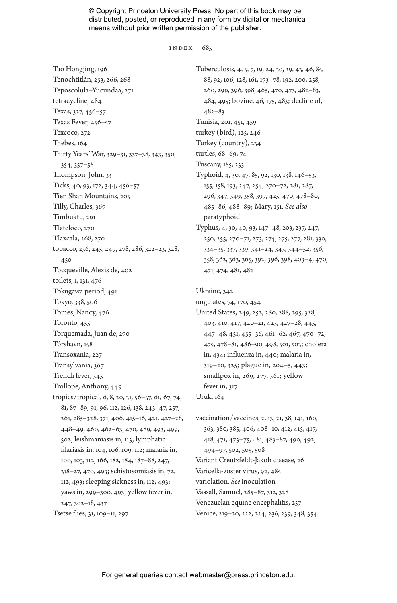#### INDEX 685

Tao Hongjing, 196 Tenochtitlán, 253, 266, 268 Teposcolula–Yucundaa, 271 tetracycline, 484 Texas, 327, 456–57 Texas Fever, 456–57 Texcoco, 272 Thebes, 164 Thirty Years' War, 329–31, 337–38, 343, 350, 354, 357–58 Thompson, John, 33 Ticks, 40, 93, 172, 344, 456–57 Tien Shan Mountains, 205 Tilly, Charles, 367 Timbuktu, 291 Tlateloco, 270 Tlaxcala, 268, 270 tobacco, 236, 245, 249, 278, 286, 322–23, 328, 450 Tocqueville, Alexis de, 402 toilets, 1, 131, 476 Tokugawa period, 491 Tokyo, 338, 506 Tomes, Nancy, 476 Toronto, 455 Torquemada, Juan de, 270 Tórshavn, 158 Transoxania, 227 Transylvania, 367 Trench fever, 345 Trollope, Anthony, 449 tropics/tropical, 6, 8, 20, 31, 56–57, 61, 67, 74, 81, 87–89, 91, 96, 112, 126, 138, 245–47, 257, 261, 285–328, 371, 406, 415–16, 421, 427–28, 448–49, 460, 462–63, 470, 489, 493, 499, 502; leishmaniasis in, 113; lymphatic filariasis in, 104, 106, 109, 112; malaria in, 100, 103, 112, 166, 182, 184, 187–88, 247, 318–27, 470, 493; schistosomiasis in, 72, 112, 493; sleeping sickness in, 112, 493; yaws in, 299–300, 493; yellow fever in, 247, 302–18, 437 Tsetse flies, 31, 109–11, 297

Tuberculosis, 4, 5, 7, 19, 24, 30, 39, 43, 46, 85, 88, 92, 106, 128, 161, 173–78, 192, 200, 258, 260, 299, 396, 398, 465, 470, 473, 482–83, 484, 495; bovine, 46, 175, 483; decline of, 482–83 Tunisia, 201, 451, 459 turkey (bird), 125, 246 Turkey (country), 234 turtles, 68–69, 74 Tuscany, 185, 233 Typhoid, 4, 30, 47, 85, 92, 130, 138, 146–53, 155, 158, 193, 247, 254, 270–72, 281, 287, 296, 347, 349, 358, 397, 425, 470, 478–80, 485–86, 488–89; Mary, 151. *See also* paratyphoid Typhus, 4, 30, 40, 93, 147–48, 203, 237, 247, 250, 255, 270–71, 273, 274, 275, 277, 281, 330, 334–35, 337, 339, 341–24, 343, 344–52, 356, 358, 362, 363, 365, 392, 396, 398, 403–4, 470,

Ukraine, 342

ungulates, 74, 170, 454

471, 474, 481, 482

United States, 249, 252, 280, 288, 295, 328, 403, 410, 417, 420–21, 423, 427–28, 445, 447–48, 451, 455–56, 461–62, 467, 470–72, 475, 478–81, 486–90, 498, 501, 503; cholera in, 434; influenza in, 440; malaria in, 319–20, 325; plague in, 204–5, 443; smallpox in, 269, 277, 361; yellow fever in, 317 Uruk, 164

vaccination/vaccines, 2, 13, 21, 38, 141, 160, 363, 380, 385, 406, 408–10, 412, 415, 417, 418, 471, 473–75, 481, 483–87, 490, 492, 494–97, 502, 505, 508 Variant Creutzfeldt-Jakob disease, 26 Varicella-zoster virus, 92, 485 variolation. *See* inoculation Vassall, Samuel, 285–87, 312, 328 Venezuelan equine encephalitis, 257 Venice, 219–20, 222, 224, 236, 239, 348, 354